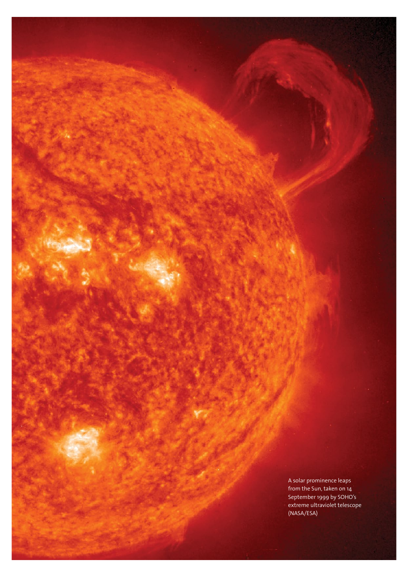nom ur A solar prominence leaps from the Sun, taken on 14 September 1999 by SOHO's extreme ultraviolet telescope (NASA/ESA)

**16** www.esa.int **science & robotic exploration**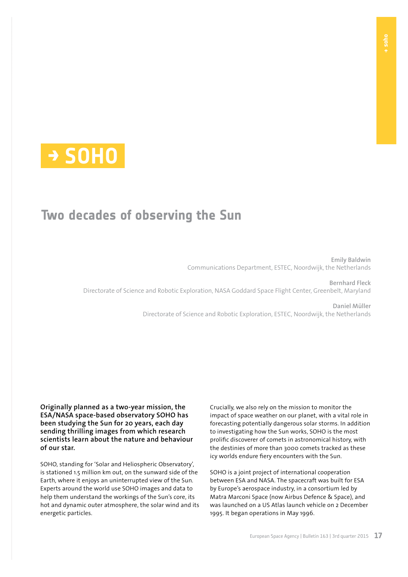

# **Two decades of observing the Sun**

**Emily Baldwin** Communications Department, ESTEC, Noordwijk, the Netherlands

**Bernhard Fleck**  Directorate of Science and Robotic Exploration, NASA Goddard Space Flight Center, Greenbelt, Maryland

> **Daniel Müller** Directorate of Science and Robotic Exploration, ESTEC, Noordwijk, the Netherlands

**Originally planned as a two-year mission, the ESA/NASA space-based observatory SOHO has been studying the Sun for 20 years, each day sending thrilling images from which research scientists learn about the nature and behaviour of our star.**

SOHO, standing for 'Solar and Heliospheric Observatory', is stationed 1.5 million km out, on the sunward side of the Earth, where it enjoys an uninterrupted view of the Sun. Experts around the world use SOHO images and data to help them understand the workings of the Sun's core, its hot and dynamic outer atmosphere, the solar wind and its energetic particles.

Crucially, we also rely on the mission to monitor the impact of space weather on our planet, with a vital role in forecasting potentially dangerous solar storms. In addition to investigating how the Sun works, SOHO is the most prolific discoverer of comets in astronomical history, with the destinies of more than 3000 comets tracked as these icy worlds endure fiery encounters with the Sun.

SOHO is a joint project of international cooperation between ESA and NASA. The spacecraft was built for ESA by Europe's aerospace industry, in a consortium led by Matra Marconi Space (now Airbus Defence & Space), and was launched on a US Atlas launch vehicle on 2 December 1995. It began operations in May 1996.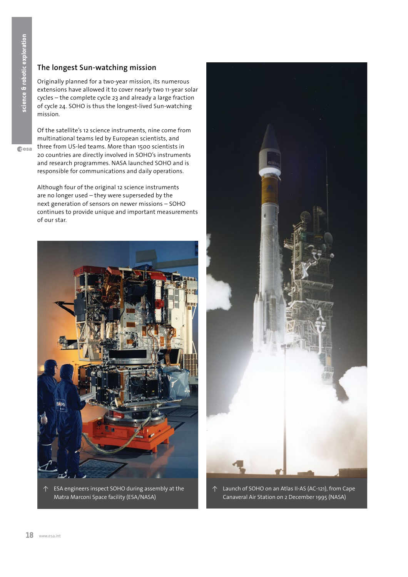**c**esa

## **The longest Sun-watching mission**

Originally planned for a two-year mission, its numerous extensions have allowed it to cover nearly two 11-year solar cycles – the complete cycle 23 and already a large fraction of cycle 24. SOHO is thus the longest-lived Sun-watching mission.

Of the satellite's 12 science instruments, nine come from multinational teams led by European scientists, and three from US-led teams. More than 1500 scientists in 20 countries are directly involved in SOHO's instruments and research programmes. NASA launched SOHO and is responsible for communications and daily operations.

Although four of the original 12 science instruments are no longer used – they were superseded by the next generation of sensors on newer missions – SOHO continues to provide unique and important measurements of our star.



↑ ESA engineers inspect SOHO during assembly at the Matra Marconi Space facility (ESA/NASA)



↑ Launch of SOHO on an Atlas II-AS (AC-121), from Cape Canaveral Air Station on 2 December 1995 (NASA)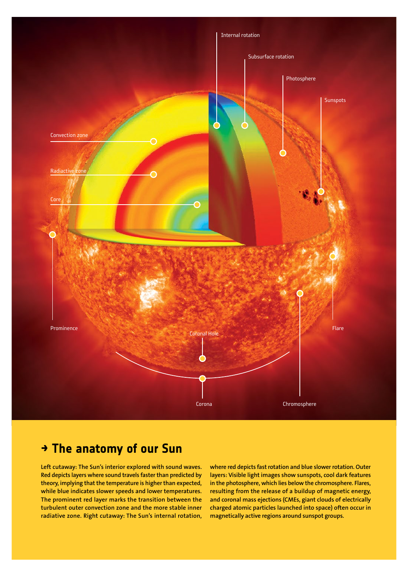

# **→ The anatomy of our Sun**

**Left cutaway: The Sun's interior explored with sound waves. Red depicts layers where sound travels faster than predicted by theory, implying that the temperature is higher than expected, while blue indicates slower speeds and lower temperatures. The prominent red layer marks the transition between the turbulent outer convection zone and the more stable inner radiative zone. Right cutaway: The Sun's internal rotation,**  **where red depicts fast rotation and blue slower rotation. Outer layers: Visible light images show sunspots, cool dark features in the photosphere, which lies below the chromosphere. Flares, resulting from the release of a buildup of magnetic energy, and coronal mass ejections (CMEs, giant clouds of electrically charged atomic particles launched into space) often occur in magnetically active regions around sunspot groups.**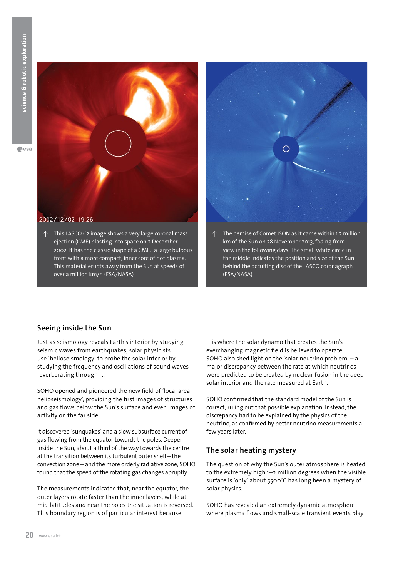

↑ This LASCO C2 image shows a very large coronal mass ejection (CME) blasting into space on 2 December 2002. It has the classic shape of a CME: a large bulbous front with a more compact, inner core of hot plasma. This material erupts away from the Sun at speeds of over a million km/h (ESA/NASA)



↑ The demise of Comet ISON as it came within 1.2 million km of the Sun on 28 November 2013, fading from view in the following days. The small white circle in the middle indicates the position and size of the Sun behind the occulting disc of the LASCO coronagraph (ESA/NASA)

### **Seeing inside the Sun**

Just as seismology reveals Earth's interior by studying seismic waves from earthquakes, solar physicists use 'helioseismology' to probe the solar interior by studying the frequency and oscillations of sound waves reverberating through it.

SOHO opened and pioneered the new field of 'local area helioseismology', providing the first images of structures and gas flows below the Sun's surface and even images of activity on the far side.

It discovered 'sunquakes' and a slow subsurface current of gas flowing from the equator towards the poles. Deeper inside the Sun, about a third of the way towards the centre at the transition between its turbulent outer shell – the convection zone – and the more orderly radiative zone, SOHO found that the speed of the rotating gas changes abruptly.

The measurements indicated that, near the equator, the outer layers rotate faster than the inner layers, while at mid-latitudes and near the poles the situation is reversed. This boundary region is of particular interest because

it is where the solar dynamo that creates the Sun's everchanging magnetic field is believed to operate. SOHO also shed light on the 'solar neutrino problem' – a major discrepancy between the rate at which neutrinos were predicted to be created by nuclear fusion in the deep solar interior and the rate measured at Earth.

SOHO confirmed that the standard model of the Sun is correct, ruling out that possible explanation. Instead, the discrepancy had to be explained by the physics of the neutrino, as confirmed by better neutrino measurements a few years later.

# **The solar heating mystery**

The question of why the Sun's outer atmosphere is heated to the extremely high 1–2 million degrees when the visible surface is 'only' about 5500°C has long been a mystery of solar physics.

SOHO has revealed an extremely dynamic atmosphere where plasma flows and small-scale transient events play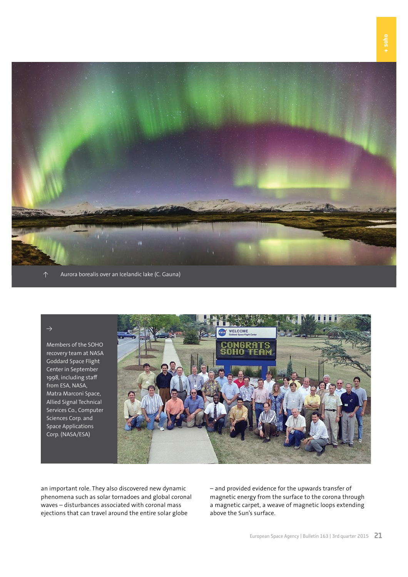

↑ Aurora borealis over an Icelandic lake (C. Gauna)

#### $\rightarrow$

Members of the SOHO recovery team at NASA Goddard Space Flight Center in September 1998, including staff from ESA, NASA, Matra Marconi Space, Allied Signal Technical Services Co., Computer Sciences Corp. and Space Applications Corp. (NASA/ESA)



an important role. They also discovered new dynamic phenomena such as solar tornadoes and global coronal waves – disturbances associated with coronal mass ejections that can travel around the entire solar globe

– and provided evidence for the upwards transfer of magnetic energy from the surface to the corona through a magnetic carpet, a weave of magnetic loops extending above the Sun's surface.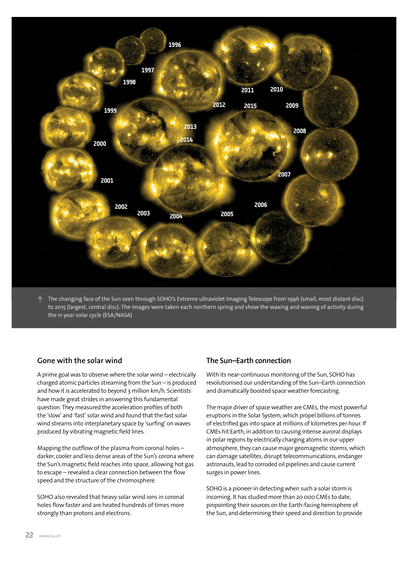

↑ The changing face of the Sun seen through SOHO's Extreme ultraviolet Imaging Telescope from 1996 (small, most distant disc) to 2015 (largest, central disc). The images were taken each northern spring and show the waxing and waning of activity during the 11-year solar cycle (ESA/NASA)

#### **Gone with the solar wind**

A prime goal was to observe where the solar wind – electrically charged atomic particles streaming from the Sun – is produced and how it is accelerated to beyond 3 million km/h. Scientists have made great strides in answering this fundamental question. They measured the acceleration profiles of both the 'slow' and 'fast' solar wind and found that the fast solar wind streams into interplanetary space by 'surfing' on waves produced by vibrating magnetic field lines.

Mapping the outflow of the plasma from coronal holes – darker, cooler and less dense areas of the Sun's corona where the Sun's magnetic field reaches into space, allowing hot gas to escape – revealed a clear connection between the flow speed and the structure of the chromosphere.

SOHO also revealed that heavy solar wind ions in coronal holes flow faster and are heated hundreds of times more strongly than protons and electrons.

#### **The Sun–Earth connection**

With its near-continuous monitoring of the Sun, SOHO has revolutionised our understanding of the Sun–Earth connection and dramatically boosted space weather forecasting.

The major driver of space weather are CMEs, the most powerful eruptions in the Solar System, which propel billions of tonnes of electrified gas into space at millions of kilometres per hour. If CMEs hit Earth, in addition to causing intense auroral displays in polar regions by electrically charging atoms in our upper atmosphere, they can cause major geomagnetic storms, which can damage satellites, disrupt telecommunications, endanger astronauts, lead to corroded oil pipelines and cause current surges in power lines.

SOHO is a pioneer in detecting when such a solar storm is incoming. It has studied more than 20 000 CMEs to date, pinpointing their sources on the Earth-facing hemisphere of the Sun, and determining their speed and direction to provide